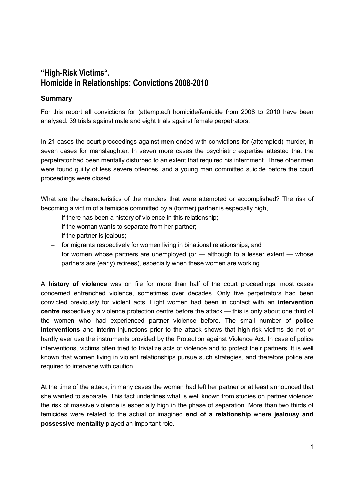## **"High-Risk Victims". Homicide in Relationships: Convictions 2008-2010**

## **Summary**

For this report all convictions for (attempted) homicide/femicide from 2008 to 2010 have been analysed: 39 trials against male and eight trials against female perpetrators.

In 21 cases the court proceedings against **men** ended with convictions for (attempted) murder, in seven cases for manslaughter. In seven more cases the psychiatric expertise attested that the perpetrator had been mentally disturbed to an extent that required his internment. Three other men were found guilty of less severe offences, and a young man committed suicide before the court proceedings were closed.

What are the characteristics of the murders that were attempted or accomplished? The risk of becoming a victim of a femicide committed by a (former) partner is especially high,

- $-$  if there has been a history of violence in this relationship;
- $-$  if the woman wants to separate from her partner;
- $-$  if the partner is jealous;
- ‒ for migrants respectively for women living in binational relationships; and
- $-$  for women whose partners are unemployed (or  $-$  although to a lesser extent  $-$  whose partners are (early) retirees), especially when these women are working.

A **history of violence** was on file for more than half of the court proceedings; most cases concerned entrenched violence, sometimes over decades. Only five perpetrators had been convicted previously for violent acts. Eight women had been in contact with an **intervention centre** respectively a violence protection centre before the attack — this is only about one third of the women who had experienced partner violence before. The small number of **police interventions** and interim injunctions prior to the attack shows that high-risk victims do not or hardly ever use the instruments provided by the Protection against Violence Act. In case of police interventions, victims often tried to trivialize acts of violence and to protect their partners. It is well known that women living in violent relationships pursue such strategies, and therefore police are required to intervene with caution.

At the time of the attack, in many cases the woman had left her partner or at least announced that she wanted to separate. This fact underlines what is well known from studies on partner violence: the risk of massive violence is especially high in the phase of separation. More than two thirds of femicides were related to the actual or imagined **end of a relationship** where **jealousy and possessive mentality** played an important role.